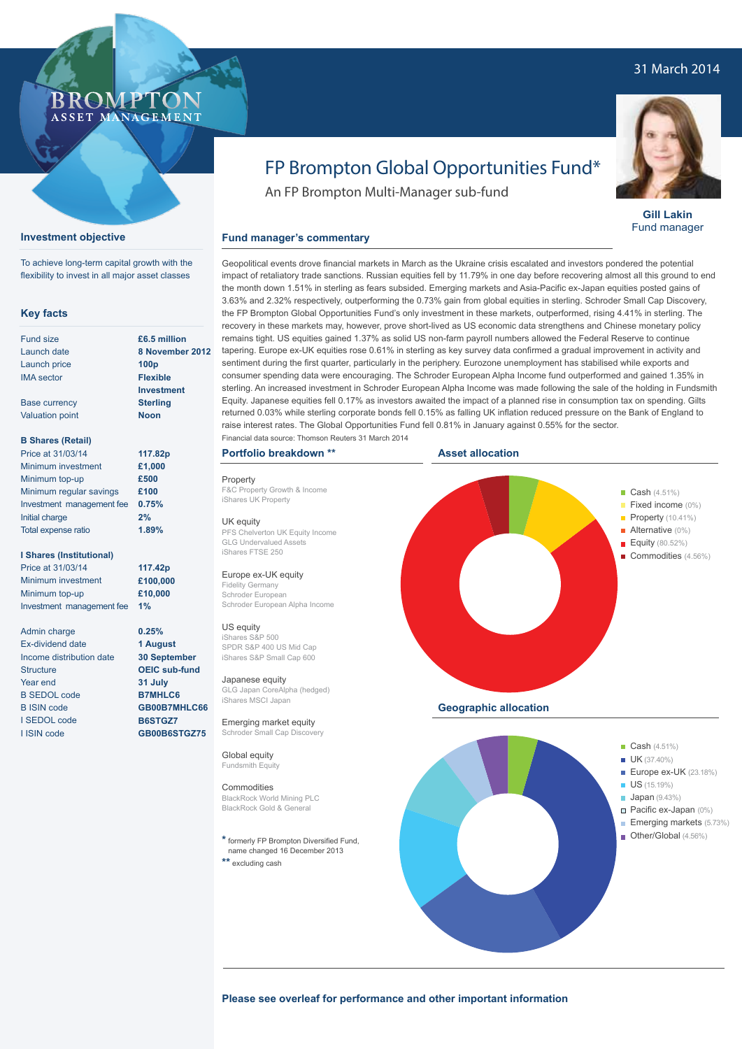### 31 March 2014



#### **Investment objective**

To achieve long-term capital growth with the flexibility to invest in all major asset classes

#### **Key facts**

| <b>Fund size</b>  |
|-------------------|
| Launch date       |
| Launch price      |
| <b>IMA</b> sector |
|                   |

Base currency Valuation point **£6.5 million 8 November 2012 100p Flexible Investment Sterling Noon**

> **0.25% 1 August 30 September OEIC sub-fund 31 July B7MHLC6 GB00B7MHLC66 B6STGZ7 GB00B6STGZ75**

#### **B Shares (Retail)**

| Price at 31/03/14         | 117.82p |
|---------------------------|---------|
| Minimum investment        | £1,000  |
| Minimum top-up            | £500    |
| Minimum regular savings   | £100    |
| Investment management fee | 0.75%   |
| Initial charge            | 2%      |
| Total expense ratio       | 1.89%   |

#### **I Shares (Institutional)**

Price at 31/03/14 Minimum investment Minimum top-up Investment management fee **117.42p £100,000 £10,000 1%**

Admin charge Ex-dividend date Income distribution date **Structure** Year end B SEDOL code B ISIN code I SEDOL code I ISIN code

# FP Brompton Global Opportunities Fund\*

An FP Brompton Multi-Manager sub-fund

#### **Fund manager's commentary**

Geopolitical events drove financial markets in March as the Ukraine crisis escalated and investors pondered the potential impact of retaliatory trade sanctions. Russian equities fell by 11.79% in one day before recovering almost all this ground to end the month down 1.51% in sterling as fears subsided. Emerging markets and Asia-Pacific ex-Japan equities posted gains of 3.63% and 2.32% respectively, outperforming the 0.73% gain from global equities in sterling. Schroder Small Cap Discovery, the FP Brompton Global Opportunities Fund's only investment in these markets, outperformed, rising 4.41% in sterling. The recovery in these markets may, however, prove short-lived as US economic data strengthens and Chinese monetary policy remains tight. US equities gained 1.37% as solid US non-farm payroll numbers allowed the Federal Reserve to continue tapering. Europe ex-UK equities rose 0.61% in sterling as key survey data confirmed a gradual improvement in activity and sentiment during the first quarter, particularly in the periphery. Eurozone unemployment has stabilised while exports and consumer spending data were encouraging. The Schroder European Alpha Income fund outperformed and gained 1.35% in sterling. An increased investment in Schroder European Alpha Income was made following the sale of the holding in Fundsmith Equity. Japanese equities fell 0.17% as investors awaited the impact of a planned rise in consumption tax on spending. Gilts returned 0.03% while sterling corporate bonds fell 0.15% as falling UK inflation reduced pressure on the Bank of England to raise interest rates. The Global Opportunities Fund fell 0.81% in January against 0.55% for the sector. Financial data source: Thomson Reuters 31 March 2014

#### **Portfolio breakdown \*\***

Property F&C Property Growth & Income iShares UK Property

#### UK equity

PFS Chelverton UK Equity Income GLG Undervalued Assets iShares FTSE 250

#### Europe ex-UK equity

Fidelity Germany Schroder European Schroder European Alpha Income

#### US equity

iShares S&P 500 SPDR S&P 400 US Mid Cap iShares S&P Small Cap 600

#### Japanese equity

GLG Japan CoreAlpha (hedged) iShares MSCI Japan

Emerging market equity Schroder Small Cap Discovery

Global equity Fundsmith Equity

#### **Commodities**

BlackRock World Mining PLC BlackRock Gold & General

**\*** formerly FP Brompton Diversified Fund, name changed 16 December 2013

**\*\*** excluding cash





**Gill Lakin** Fund manager

**Emerging markets (5.73%)** Other/Global (4.56%)